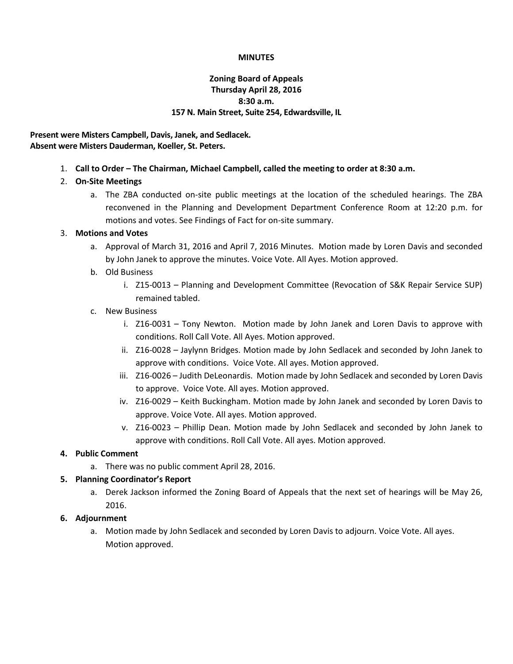#### **MINUTES**

# **Zoning Board of Appeals Thursday April 28, 2016 8:30 a.m. 157 N. Main Street, Suite 254, Edwardsville, IL**

### **Present were Misters Campbell, Davis, Janek, and Sedlacek. Absent were Misters Dauderman, Koeller, St. Peters.**

1. **Call to Order – The Chairman, Michael Campbell, called the meeting to order at 8:30 a.m.**

# 2. **On-Site Meetings**

a. The ZBA conducted on-site public meetings at the location of the scheduled hearings. The ZBA reconvened in the Planning and Development Department Conference Room at 12:20 p.m. for motions and votes. See Findings of Fact for on-site summary.

### 3. **Motions and Votes**

- a. Approval of March 31, 2016 and April 7, 2016 Minutes. Motion made by Loren Davis and seconded by John Janek to approve the minutes. Voice Vote. All Ayes. Motion approved.
- b. Old Business
	- i. Z15-0013 Planning and Development Committee (Revocation of S&K Repair Service SUP) remained tabled.

### c. New Business

- i. Z16-0031 Tony Newton. Motion made by John Janek and Loren Davis to approve with conditions. Roll Call Vote. All Ayes. Motion approved.
- ii. Z16-0028 Jaylynn Bridges. Motion made by John Sedlacek and seconded by John Janek to approve with conditions. Voice Vote. All ayes. Motion approved.
- iii. Z16-0026 Judith DeLeonardis. Motion made by John Sedlacek and seconded by Loren Davis to approve. Voice Vote. All ayes. Motion approved.
- iv. Z16-0029 Keith Buckingham. Motion made by John Janek and seconded by Loren Davis to approve. Voice Vote. All ayes. Motion approved.
- v. Z16-0023 Phillip Dean. Motion made by John Sedlacek and seconded by John Janek to approve with conditions. Roll Call Vote. All ayes. Motion approved.

# **4. Public Comment**

a. There was no public comment April 28, 2016.

# **5. Planning Coordinator's Report**

a. Derek Jackson informed the Zoning Board of Appeals that the next set of hearings will be May 26, 2016.

# **6. Adjournment**

a. Motion made by John Sedlacek and seconded by Loren Davis to adjourn. Voice Vote. All ayes. Motion approved.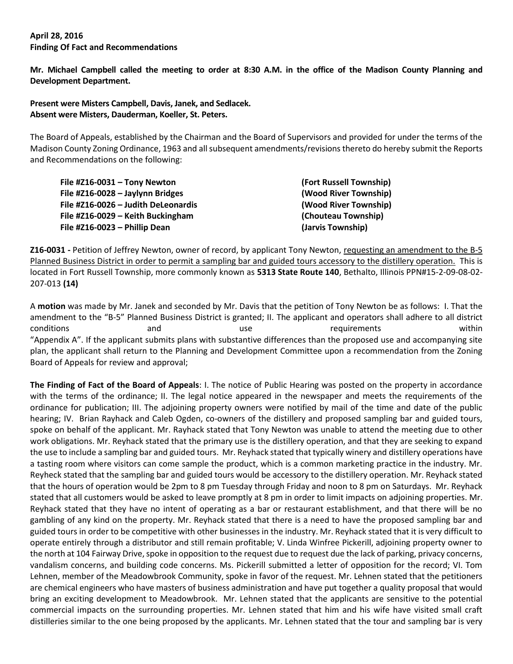#### **April 28, 2016 Finding Of Fact and Recommendations**

**Mr. Michael Campbell called the meeting to order at 8:30 A.M. in the office of the Madison County Planning and Development Department.**

**Present were Misters Campbell, Davis, Janek, and Sedlacek. Absent were Misters, Dauderman, Koeller, St. Peters.**

The Board of Appeals, established by the Chairman and the Board of Supervisors and provided for under the terms of the Madison County Zoning Ordinance, 1963 and all subsequent amendments/revisions thereto do hereby submit the Reports and Recommendations on the following:

| File #Z16-0031 - Tony Newton        | (Fort Russell Township) |
|-------------------------------------|-------------------------|
| File #Z16-0028 - Jaylynn Bridges    | (Wood River Township)   |
| File #Z16-0026 - Judith DeLeonardis | (Wood River Township)   |
| File #Z16-0029 - Keith Buckingham   | (Chouteau Township)     |
| File #Z16-0023 $-$ Phillip Dean     | (Jarvis Township)       |

**Z16-0031 -** Petition of Jeffrey Newton, owner of record, by applicant Tony Newton, requesting an amendment to the B-5 Planned Business District in order to permit a sampling bar and guided tours accessory to the distillery operation. This is located in Fort Russell Township, more commonly known as **5313 State Route 140**, Bethalto, Illinois PPN#15-2-09-08-02- 207-013 **(14)**

A **motion** was made by Mr. Janek and seconded by Mr. Davis that the petition of Tony Newton be as follows: I. That the amendment to the "B-5" Planned Business District is granted; II. The applicant and operators shall adhere to all district conditions and and use requirements within "Appendix A". If the applicant submits plans with substantive differences than the proposed use and accompanying site plan, the applicant shall return to the Planning and Development Committee upon a recommendation from the Zoning Board of Appeals for review and approval;

**The Finding of Fact of the Board of Appeals**: I. The notice of Public Hearing was posted on the property in accordance with the terms of the ordinance; II. The legal notice appeared in the newspaper and meets the requirements of the ordinance for publication; III. The adjoining property owners were notified by mail of the time and date of the public hearing; IV. Brian Rayhack and Caleb Ogden, co-owners of the distillery and proposed sampling bar and guided tours, spoke on behalf of the applicant. Mr. Rayhack stated that Tony Newton was unable to attend the meeting due to other work obligations. Mr. Reyhack stated that the primary use is the distillery operation, and that they are seeking to expand the use to include a sampling bar and guided tours. Mr. Reyhack stated that typically winery and distillery operations have a tasting room where visitors can come sample the product, which is a common marketing practice in the industry. Mr. Reyheck stated that the sampling bar and guided tours would be accessory to the distillery operation. Mr. Reyhack stated that the hours of operation would be 2pm to 8 pm Tuesday through Friday and noon to 8 pm on Saturdays. Mr. Reyhack stated that all customers would be asked to leave promptly at 8 pm in order to limit impacts on adjoining properties. Mr. Reyhack stated that they have no intent of operating as a bar or restaurant establishment, and that there will be no gambling of any kind on the property. Mr. Reyhack stated that there is a need to have the proposed sampling bar and guided tours in order to be competitive with other businesses in the industry. Mr. Reyhack stated that it is very difficult to operate entirely through a distributor and still remain profitable; V. Linda Winfree Pickerill, adjoining property owner to the north at 104 Fairway Drive, spoke in opposition to the request due to request due the lack of parking, privacy concerns, vandalism concerns, and building code concerns. Ms. Pickerill submitted a letter of opposition for the record; VI. Tom Lehnen, member of the Meadowbrook Community, spoke in favor of the request. Mr. Lehnen stated that the petitioners are chemical engineers who have masters of business administration and have put together a quality proposal that would bring an exciting development to Meadowbrook. Mr. Lehnen stated that the applicants are sensitive to the potential commercial impacts on the surrounding properties. Mr. Lehnen stated that him and his wife have visited small craft distilleries similar to the one being proposed by the applicants. Mr. Lehnen stated that the tour and sampling bar is very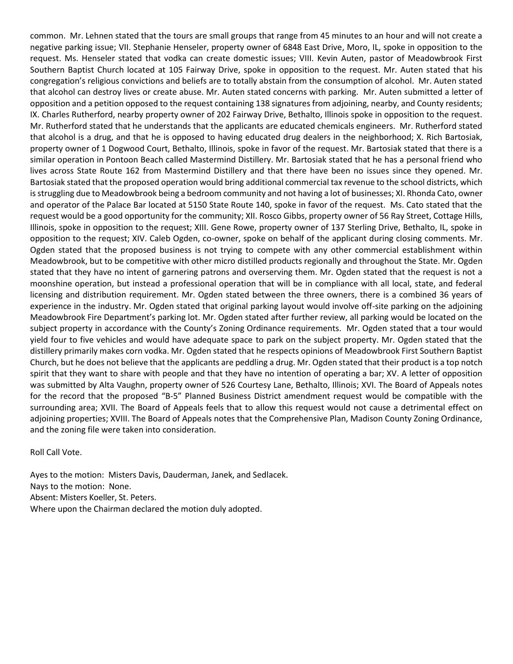common. Mr. Lehnen stated that the tours are small groups that range from 45 minutes to an hour and will not create a negative parking issue; VII. Stephanie Henseler, property owner of 6848 East Drive, Moro, IL, spoke in opposition to the request. Ms. Henseler stated that vodka can create domestic issues; VIII. Kevin Auten, pastor of Meadowbrook First Southern Baptist Church located at 105 Fairway Drive, spoke in opposition to the request. Mr. Auten stated that his congregation's religious convictions and beliefs are to totally abstain from the consumption of alcohol. Mr. Auten stated that alcohol can destroy lives or create abuse. Mr. Auten stated concerns with parking. Mr. Auten submitted a letter of opposition and a petition opposed to the request containing 138 signatures from adjoining, nearby, and County residents; IX. Charles Rutherford, nearby property owner of 202 Fairway Drive, Bethalto, Illinois spoke in opposition to the request. Mr. Rutherford stated that he understands that the applicants are educated chemicals engineers. Mr. Rutherford stated that alcohol is a drug, and that he is opposed to having educated drug dealers in the neighborhood; X. Rich Bartosiak, property owner of 1 Dogwood Court, Bethalto, Illinois, spoke in favor of the request. Mr. Bartosiak stated that there is a similar operation in Pontoon Beach called Mastermind Distillery. Mr. Bartosiak stated that he has a personal friend who lives across State Route 162 from Mastermind Distillery and that there have been no issues since they opened. Mr. Bartosiak stated that the proposed operation would bring additional commercial tax revenue to the school districts, which is struggling due to Meadowbrook being a bedroom community and not having a lot of businesses; XI. Rhonda Cato, owner and operator of the Palace Bar located at 5150 State Route 140, spoke in favor of the request. Ms. Cato stated that the request would be a good opportunity for the community; XII. Rosco Gibbs, property owner of 56 Ray Street, Cottage Hills, Illinois, spoke in opposition to the request; XIII. Gene Rowe, property owner of 137 Sterling Drive, Bethalto, IL, spoke in opposition to the request; XIV. Caleb Ogden, co-owner, spoke on behalf of the applicant during closing comments. Mr. Ogden stated that the proposed business is not trying to compete with any other commercial establishment within Meadowbrook, but to be competitive with other micro distilled products regionally and throughout the State. Mr. Ogden stated that they have no intent of garnering patrons and overserving them. Mr. Ogden stated that the request is not a moonshine operation, but instead a professional operation that will be in compliance with all local, state, and federal licensing and distribution requirement. Mr. Ogden stated between the three owners, there is a combined 36 years of experience in the industry. Mr. Ogden stated that original parking layout would involve off-site parking on the adjoining Meadowbrook Fire Department's parking lot. Mr. Ogden stated after further review, all parking would be located on the subject property in accordance with the County's Zoning Ordinance requirements. Mr. Ogden stated that a tour would yield four to five vehicles and would have adequate space to park on the subject property. Mr. Ogden stated that the distillery primarily makes corn vodka. Mr. Ogden stated that he respects opinions of Meadowbrook First Southern Baptist Church, but he does not believe that the applicants are peddling a drug. Mr. Ogden stated that their product is a top notch spirit that they want to share with people and that they have no intention of operating a bar; XV. A letter of opposition was submitted by Alta Vaughn, property owner of 526 Courtesy Lane, Bethalto, Illinois; XVI. The Board of Appeals notes for the record that the proposed "B-5" Planned Business District amendment request would be compatible with the surrounding area; XVII. The Board of Appeals feels that to allow this request would not cause a detrimental effect on adjoining properties; XVIII. The Board of Appeals notes that the Comprehensive Plan, Madison County Zoning Ordinance, and the zoning file were taken into consideration.

Roll Call Vote.

Ayes to the motion: Misters Davis, Dauderman, Janek, and Sedlacek. Nays to the motion: None. Absent: Misters Koeller, St. Peters. Where upon the Chairman declared the motion duly adopted.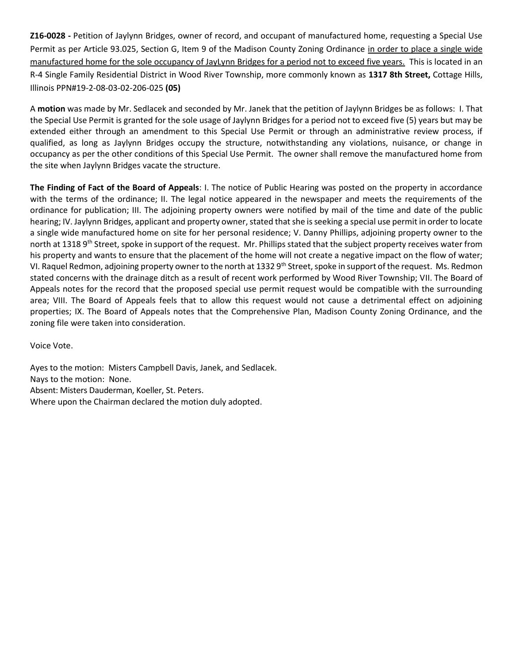**Z16-0028 -** Petition of Jaylynn Bridges, owner of record, and occupant of manufactured home, requesting a Special Use Permit as per Article 93.025, Section G, Item 9 of the Madison County Zoning Ordinance in order to place a single wide manufactured home for the sole occupancy of JayLynn Bridges for a period not to exceed five years. This is located in an R-4 Single Family Residential District in Wood River Township, more commonly known as **1317 8th Street,** Cottage Hills, Illinois PPN#19-2-08-03-02-206-025 **(05)**

A **motion** was made by Mr. Sedlacek and seconded by Mr. Janek that the petition of Jaylynn Bridges be as follows: I. That the Special Use Permit is granted for the sole usage of Jaylynn Bridges for a period not to exceed five (5) years but may be extended either through an amendment to this Special Use Permit or through an administrative review process, if qualified, as long as Jaylynn Bridges occupy the structure, notwithstanding any violations, nuisance, or change in occupancy as per the other conditions of this Special Use Permit. The owner shall remove the manufactured home from the site when Jaylynn Bridges vacate the structure.

**The Finding of Fact of the Board of Appeals**: I. The notice of Public Hearing was posted on the property in accordance with the terms of the ordinance; II. The legal notice appeared in the newspaper and meets the requirements of the ordinance for publication; III. The adjoining property owners were notified by mail of the time and date of the public hearing; IV. Jaylynn Bridges, applicant and property owner, stated that she is seeking a special use permit in order to locate a single wide manufactured home on site for her personal residence; V. Danny Phillips, adjoining property owner to the north at 1318 9<sup>th</sup> Street, spoke in support of the request. Mr. Phillips stated that the subject property receives water from his property and wants to ensure that the placement of the home will not create a negative impact on the flow of water; VI. Raquel Redmon, adjoining property owner to the north at 1332 9<sup>th</sup> Street, spoke in support of the request. Ms. Redmon stated concerns with the drainage ditch as a result of recent work performed by Wood River Township; VII. The Board of Appeals notes for the record that the proposed special use permit request would be compatible with the surrounding area; VIII. The Board of Appeals feels that to allow this request would not cause a detrimental effect on adjoining properties; IX. The Board of Appeals notes that the Comprehensive Plan, Madison County Zoning Ordinance, and the zoning file were taken into consideration.

Voice Vote.

Ayes to the motion: Misters Campbell Davis, Janek, and Sedlacek. Nays to the motion: None. Absent: Misters Dauderman, Koeller, St. Peters. Where upon the Chairman declared the motion duly adopted.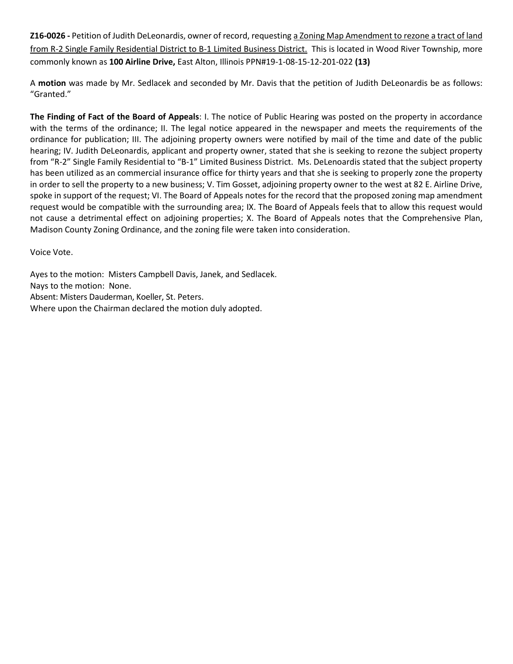**Z16-0026 -** Petition of Judith DeLeonardis, owner of record, requesting a Zoning Map Amendment to rezone a tract of land from R-2 Single Family Residential District to B-1 Limited Business District. This is located in Wood River Township, more commonly known as **100 Airline Drive,** East Alton, Illinois PPN#19-1-08-15-12-201-022 **(13)**

A **motion** was made by Mr. Sedlacek and seconded by Mr. Davis that the petition of Judith DeLeonardis be as follows: "Granted."

**The Finding of Fact of the Board of Appeals**: I. The notice of Public Hearing was posted on the property in accordance with the terms of the ordinance; II. The legal notice appeared in the newspaper and meets the requirements of the ordinance for publication; III. The adjoining property owners were notified by mail of the time and date of the public hearing; IV. Judith DeLeonardis, applicant and property owner, stated that she is seeking to rezone the subject property from "R-2" Single Family Residential to "B-1" Limited Business District. Ms. DeLenoardis stated that the subject property has been utilized as an commercial insurance office for thirty years and that she is seeking to properly zone the property in order to sell the property to a new business; V. Tim Gosset, adjoining property owner to the west at 82 E. Airline Drive, spoke in support of the request; VI. The Board of Appeals notes for the record that the proposed zoning map amendment request would be compatible with the surrounding area; IX. The Board of Appeals feels that to allow this request would not cause a detrimental effect on adjoining properties; X. The Board of Appeals notes that the Comprehensive Plan, Madison County Zoning Ordinance, and the zoning file were taken into consideration.

Voice Vote.

Ayes to the motion: Misters Campbell Davis, Janek, and Sedlacek. Nays to the motion: None. Absent: Misters Dauderman, Koeller, St. Peters. Where upon the Chairman declared the motion duly adopted.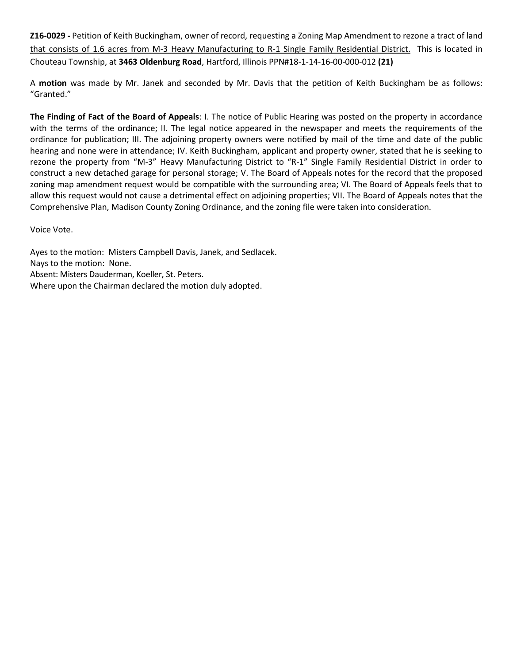**Z16-0029 -** Petition of Keith Buckingham, owner of record, requesting a Zoning Map Amendment to rezone a tract of land that consists of 1.6 acres from M-3 Heavy Manufacturing to R-1 Single Family Residential District. This is located in Chouteau Township, at **3463 Oldenburg Road**, Hartford, Illinois PPN#18-1-14-16-00-000-012 **(21)**

A **motion** was made by Mr. Janek and seconded by Mr. Davis that the petition of Keith Buckingham be as follows: "Granted."

**The Finding of Fact of the Board of Appeals**: I. The notice of Public Hearing was posted on the property in accordance with the terms of the ordinance; II. The legal notice appeared in the newspaper and meets the requirements of the ordinance for publication; III. The adjoining property owners were notified by mail of the time and date of the public hearing and none were in attendance; IV. Keith Buckingham, applicant and property owner, stated that he is seeking to rezone the property from "M-3" Heavy Manufacturing District to "R-1" Single Family Residential District in order to construct a new detached garage for personal storage; V. The Board of Appeals notes for the record that the proposed zoning map amendment request would be compatible with the surrounding area; VI. The Board of Appeals feels that to allow this request would not cause a detrimental effect on adjoining properties; VII. The Board of Appeals notes that the Comprehensive Plan, Madison County Zoning Ordinance, and the zoning file were taken into consideration.

Voice Vote.

Ayes to the motion: Misters Campbell Davis, Janek, and Sedlacek. Nays to the motion: None. Absent: Misters Dauderman, Koeller, St. Peters. Where upon the Chairman declared the motion duly adopted.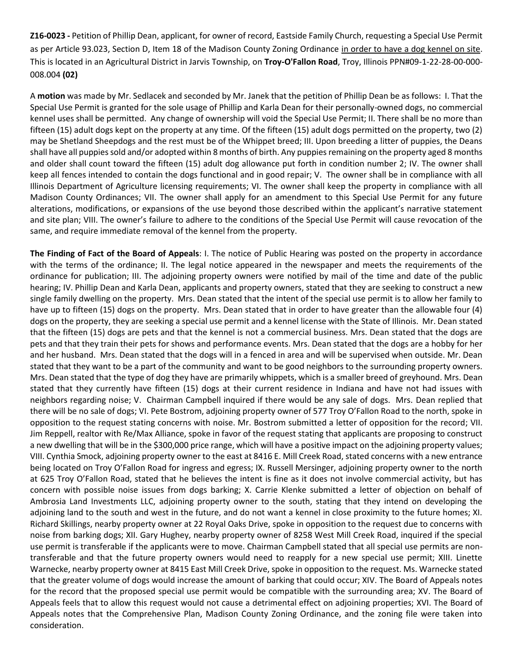**Z16-0023 -** Petition of Phillip Dean, applicant, for owner of record, Eastside Family Church, requesting a Special Use Permit as per Article 93.023, Section D, Item 18 of the Madison County Zoning Ordinance in order to have a dog kennel on site. This is located in an Agricultural District in Jarvis Township, on **Troy-O'Fallon Road**, Troy, Illinois PPN#09-1-22-28-00-000- 008.004 **(02)**

A **motion** was made by Mr. Sedlacek and seconded by Mr. Janek that the petition of Phillip Dean be as follows: I. That the Special Use Permit is granted for the sole usage of Phillip and Karla Dean for their personally-owned dogs, no commercial kennel uses shall be permitted. Any change of ownership will void the Special Use Permit; II. There shall be no more than fifteen (15) adult dogs kept on the property at any time. Of the fifteen (15) adult dogs permitted on the property, two (2) may be Shetland Sheepdogs and the rest must be of the Whippet breed; III. Upon breeding a litter of puppies, the Deans shall have all puppies sold and/or adopted within 8 months of birth. Any puppies remaining on the property aged 8 months and older shall count toward the fifteen (15) adult dog allowance put forth in condition number 2; IV. The owner shall keep all fences intended to contain the dogs functional and in good repair; V. The owner shall be in compliance with all Illinois Department of Agriculture licensing requirements; VI. The owner shall keep the property in compliance with all Madison County Ordinances; VII. The owner shall apply for an amendment to this Special Use Permit for any future alterations, modifications, or expansions of the use beyond those described within the applicant's narrative statement and site plan; VIII. The owner's failure to adhere to the conditions of the Special Use Permit will cause revocation of the same, and require immediate removal of the kennel from the property.

**The Finding of Fact of the Board of Appeals**: I. The notice of Public Hearing was posted on the property in accordance with the terms of the ordinance; II. The legal notice appeared in the newspaper and meets the requirements of the ordinance for publication; III. The adjoining property owners were notified by mail of the time and date of the public hearing; IV. Phillip Dean and Karla Dean, applicants and property owners, stated that they are seeking to construct a new single family dwelling on the property. Mrs. Dean stated that the intent of the special use permit is to allow her family to have up to fifteen (15) dogs on the property. Mrs. Dean stated that in order to have greater than the allowable four (4) dogs on the property, they are seeking a special use permit and a kennel license with the State of Illinois. Mr. Dean stated that the fifteen (15) dogs are pets and that the kennel is not a commercial business. Mrs. Dean stated that the dogs are pets and that they train their pets for shows and performance events. Mrs. Dean stated that the dogs are a hobby for her and her husband. Mrs. Dean stated that the dogs will in a fenced in area and will be supervised when outside. Mr. Dean stated that they want to be a part of the community and want to be good neighbors to the surrounding property owners. Mrs. Dean stated that the type of dog they have are primarily whippets, which is a smaller breed of greyhound. Mrs. Dean stated that they currently have fifteen (15) dogs at their current residence in Indiana and have not had issues with neighbors regarding noise; V. Chairman Campbell inquired if there would be any sale of dogs. Mrs. Dean replied that there will be no sale of dogs; VI. Pete Bostrom, adjoining property owner of 577 Troy O'Fallon Road to the north, spoke in opposition to the request stating concerns with noise. Mr. Bostrom submitted a letter of opposition for the record; VII. Jim Reppell, realtor with Re/Max Alliance, spoke in favor of the request stating that applicants are proposing to construct a new dwelling that will be in the \$300,000 price range, which will have a positive impact on the adjoining property values; VIII. Cynthia Smock, adjoining property owner to the east at 8416 E. Mill Creek Road, stated concerns with a new entrance being located on Troy O'Fallon Road for ingress and egress; IX. Russell Mersinger, adjoining property owner to the north at 625 Troy O'Fallon Road, stated that he believes the intent is fine as it does not involve commercial activity, but has concern with possible noise issues from dogs barking; X. Carrie Klenke submitted a letter of objection on behalf of Ambrosia Land Investments LLC, adjoining property owner to the south, stating that they intend on developing the adjoining land to the south and west in the future, and do not want a kennel in close proximity to the future homes; XI. Richard Skillings, nearby property owner at 22 Royal Oaks Drive, spoke in opposition to the request due to concerns with noise from barking dogs; XII. Gary Hughey, nearby property owner of 8258 West Mill Creek Road, inquired if the special use permit is transferable if the applicants were to move. Chairman Campbell stated that all special use permits are nontransferable and that the future property owners would need to reapply for a new special use permit; XIII. Linette Warnecke, nearby property owner at 8415 East Mill Creek Drive, spoke in opposition to the request. Ms. Warnecke stated that the greater volume of dogs would increase the amount of barking that could occur; XIV. The Board of Appeals notes for the record that the proposed special use permit would be compatible with the surrounding area; XV. The Board of Appeals feels that to allow this request would not cause a detrimental effect on adjoining properties; XVI. The Board of Appeals notes that the Comprehensive Plan, Madison County Zoning Ordinance, and the zoning file were taken into consideration.